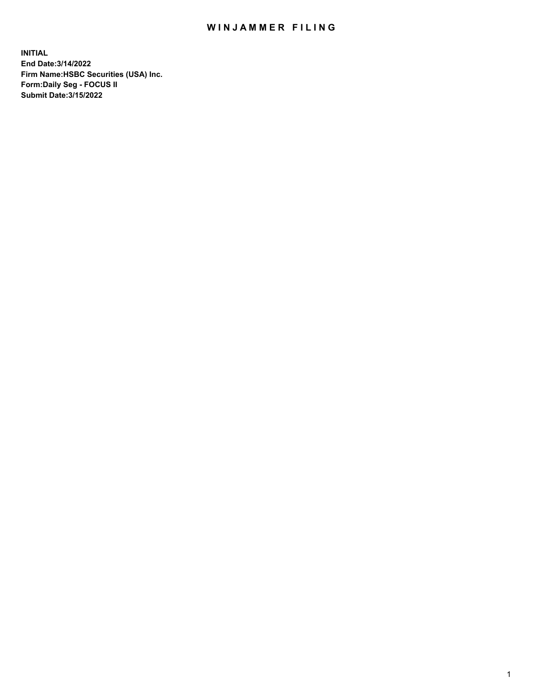## WIN JAMMER FILING

**INITIAL End Date:3/14/2022 Firm Name:HSBC Securities (USA) Inc. Form:Daily Seg - FOCUS II Submit Date:3/15/2022**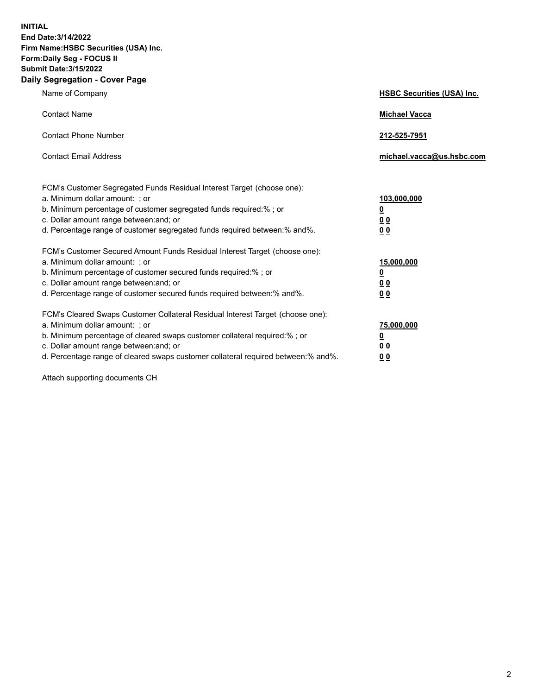**INITIAL End Date:3/14/2022 Firm Name:HSBC Securities (USA) Inc. Form:Daily Seg - FOCUS II Submit Date:3/15/2022 Daily Segregation - Cover Page**

| Name of Company                                                                                                                                                                                                                                                                                                                | <b>HSBC Securities (USA) Inc.</b>                          |
|--------------------------------------------------------------------------------------------------------------------------------------------------------------------------------------------------------------------------------------------------------------------------------------------------------------------------------|------------------------------------------------------------|
| <b>Contact Name</b>                                                                                                                                                                                                                                                                                                            | <b>Michael Vacca</b>                                       |
| <b>Contact Phone Number</b>                                                                                                                                                                                                                                                                                                    | 212-525-7951                                               |
| <b>Contact Email Address</b>                                                                                                                                                                                                                                                                                                   | michael.vacca@us.hsbc.com                                  |
| FCM's Customer Segregated Funds Residual Interest Target (choose one):<br>a. Minimum dollar amount: ; or<br>b. Minimum percentage of customer segregated funds required:%; or<br>c. Dollar amount range between: and; or<br>d. Percentage range of customer segregated funds required between: % and %.                        | 103,000,000<br><u>0</u><br>00<br>0 <sub>0</sub>            |
| FCM's Customer Secured Amount Funds Residual Interest Target (choose one):<br>a. Minimum dollar amount: ; or<br>b. Minimum percentage of customer secured funds required:%; or<br>c. Dollar amount range between: and; or<br>d. Percentage range of customer secured funds required between: % and %.                          | 15,000,000<br><u>0</u><br>0 <sub>0</sub><br>0 <sub>0</sub> |
| FCM's Cleared Swaps Customer Collateral Residual Interest Target (choose one):<br>a. Minimum dollar amount: ; or<br>b. Minimum percentage of cleared swaps customer collateral required:% ; or<br>c. Dollar amount range between: and; or<br>d. Percentage range of cleared swaps customer collateral required between:% and%. | 75,000,000<br><u>0</u><br><u>00</u><br>00                  |

Attach supporting documents CH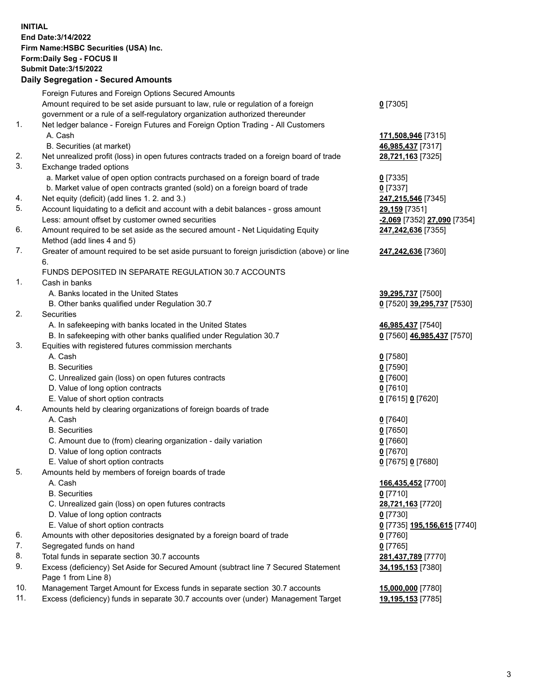**INITIAL End Date:3/14/2022 Firm Name:HSBC Securities (USA) Inc. Form:Daily Seg - FOCUS II Submit Date:3/15/2022 Daily Segregation - Secured Amounts**

|     | Foreign Futures and Foreign Options Secured Amounts                                                                                  |                                                   |
|-----|--------------------------------------------------------------------------------------------------------------------------------------|---------------------------------------------------|
|     | Amount required to be set aside pursuant to law, rule or regulation of a foreign                                                     | $0$ [7305]                                        |
|     | government or a rule of a self-regulatory organization authorized thereunder                                                         |                                                   |
| 1.  | Net ledger balance - Foreign Futures and Foreign Option Trading - All Customers                                                      |                                                   |
|     | A. Cash                                                                                                                              | 171,508,946 [7315]                                |
|     | B. Securities (at market)                                                                                                            | 46,985,437 [7317]                                 |
| 2.  | Net unrealized profit (loss) in open futures contracts traded on a foreign board of trade                                            | 28,721,163 [7325]                                 |
| 3.  | Exchange traded options                                                                                                              |                                                   |
|     | a. Market value of open option contracts purchased on a foreign board of trade                                                       | $0$ [7335]                                        |
|     | b. Market value of open contracts granted (sold) on a foreign board of trade                                                         | $0$ [7337]                                        |
| 4.  | Net equity (deficit) (add lines 1. 2. and 3.)                                                                                        | 247,215,546 [7345]                                |
| 5.  | Account liquidating to a deficit and account with a debit balances - gross amount                                                    | 29,159 [7351]                                     |
|     | Less: amount offset by customer owned securities                                                                                     | -2,069 [7352] 27,090 [7354]                       |
| 6.  | Amount required to be set aside as the secured amount - Net Liquidating Equity                                                       | 247,242,636 [7355]                                |
|     | Method (add lines 4 and 5)                                                                                                           |                                                   |
| 7.  | Greater of amount required to be set aside pursuant to foreign jurisdiction (above) or line                                          | 247,242,636 [7360]                                |
|     | 6.                                                                                                                                   |                                                   |
|     | FUNDS DEPOSITED IN SEPARATE REGULATION 30.7 ACCOUNTS                                                                                 |                                                   |
| 1.  | Cash in banks                                                                                                                        |                                                   |
|     | A. Banks located in the United States                                                                                                | 39,295,737 [7500]                                 |
|     | B. Other banks qualified under Regulation 30.7                                                                                       | 0 [7520] 39,295,737 [7530]                        |
| 2.  | Securities                                                                                                                           |                                                   |
|     | A. In safekeeping with banks located in the United States                                                                            | 46,985,437 [7540]                                 |
|     | B. In safekeeping with other banks qualified under Regulation 30.7                                                                   | 0 [7560] 46,985,437 [7570]                        |
| 3.  | Equities with registered futures commission merchants                                                                                |                                                   |
|     | A. Cash                                                                                                                              | $0$ [7580]                                        |
|     | <b>B.</b> Securities                                                                                                                 | $0$ [7590]                                        |
|     | C. Unrealized gain (loss) on open futures contracts                                                                                  | $0$ [7600]                                        |
|     | D. Value of long option contracts                                                                                                    | $0$ [7610]                                        |
|     | E. Value of short option contracts                                                                                                   | 0 [7615] 0 [7620]                                 |
| 4.  | Amounts held by clearing organizations of foreign boards of trade                                                                    |                                                   |
|     | A. Cash                                                                                                                              | $0$ [7640]                                        |
|     | <b>B.</b> Securities                                                                                                                 | $0$ [7650]                                        |
|     | C. Amount due to (from) clearing organization - daily variation                                                                      | $0$ [7660]                                        |
|     | D. Value of long option contracts                                                                                                    | $0$ [7670]                                        |
|     | E. Value of short option contracts                                                                                                   | 0 [7675] 0 [7680]                                 |
| 5.  | Amounts held by members of foreign boards of trade                                                                                   |                                                   |
|     | A. Cash                                                                                                                              | 166,435,452 [7700]                                |
|     | <b>B.</b> Securities                                                                                                                 | <u>0</u> [7710]                                   |
|     | C. Unrealized gain (loss) on open futures contracts                                                                                  | 28,721,163 [7720]                                 |
|     | D. Value of long option contracts                                                                                                    | 0 [7730]                                          |
|     | E. Value of short option contracts                                                                                                   | 0 <sup>[7735]</sup> 195,156,615 <sup>[7740]</sup> |
| 6.  | Amounts with other depositories designated by a foreign board of trade                                                               | $0$ [7760]                                        |
| 7.  | Segregated funds on hand                                                                                                             | $0$ [7765]                                        |
| 8.  |                                                                                                                                      |                                                   |
| 9.  | Total funds in separate section 30.7 accounts<br>Excess (deficiency) Set Aside for Secured Amount (subtract line 7 Secured Statement | 281,437,789 [7770]                                |
|     | Page 1 from Line 8)                                                                                                                  | 34,195,153 [7380]                                 |
| 10. | Management Target Amount for Excess funds in separate section 30.7 accounts                                                          |                                                   |
| 11. |                                                                                                                                      | 15,000,000 [7780]                                 |
|     | Excess (deficiency) funds in separate 30.7 accounts over (under) Management Target                                                   | 19,195,153 [7785]                                 |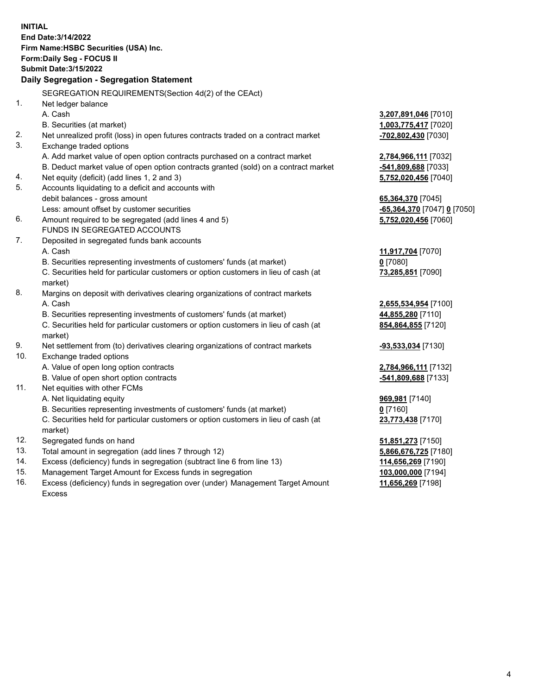**INITIAL End Date:3/14/2022 Firm Name:HSBC Securities (USA) Inc. Form:Daily Seg - FOCUS II Submit Date:3/15/2022 Daily Segregation - Segregation Statement** SEGREGATION REQUIREMENTS(Section 4d(2) of the CEAct) 1. Net ledger balance A. Cash **3,207,891,046** [7010] B. Securities (at market) **1,003,775,417** [7020] 2. Net unrealized profit (loss) in open futures contracts traded on a contract market **-702,802,430** [7030] 3. Exchange traded options A. Add market value of open option contracts purchased on a contract market **2,784,966,111** [7032] B. Deduct market value of open option contracts granted (sold) on a contract market **-541,809,688** [7033] 4. Net equity (deficit) (add lines 1, 2 and 3) **5,752,020,456** [7040] 5. Accounts liquidating to a deficit and accounts with debit balances - gross amount **65,364,370** [7045] Less: amount offset by customer securities **-65,364,370** [7047] **0** [7050] 6. Amount required to be segregated (add lines 4 and 5) **5,752,020,456** [7060] FUNDS IN SEGREGATED ACCOUNTS 7. Deposited in segregated funds bank accounts A. Cash **11,917,704** [7070] B. Securities representing investments of customers' funds (at market) **0** [7080] C. Securities held for particular customers or option customers in lieu of cash (at market) **73,285,851** [7090] 8. Margins on deposit with derivatives clearing organizations of contract markets A. Cash **2,655,534,954** [7100] B. Securities representing investments of customers' funds (at market) **44,855,280** [7110] C. Securities held for particular customers or option customers in lieu of cash (at market) **854,864,855** [7120] 9. Net settlement from (to) derivatives clearing organizations of contract markets **-93,533,034** [7130] 10. Exchange traded options A. Value of open long option contracts **2,784,966,111** [7132] B. Value of open short option contracts **-541,809,688** [7133] 11. Net equities with other FCMs A. Net liquidating equity **969,981** [7140] B. Securities representing investments of customers' funds (at market) **0** [7160] C. Securities held for particular customers or option customers in lieu of cash (at market) **23,773,438** [7170] 12. Segregated funds on hand **51,851,273** [7150] 13. Total amount in segregation (add lines 7 through 12) **5,866,676,725** [7180] 14. Excess (deficiency) funds in segregation (subtract line 6 from line 13) **114,656,269** [7190] 15. Management Target Amount for Excess funds in segregation **103,000,000** [7194] 16. Excess (deficiency) funds in segregation over (under) Management Target Amount **11,656,269** [7198]

Excess